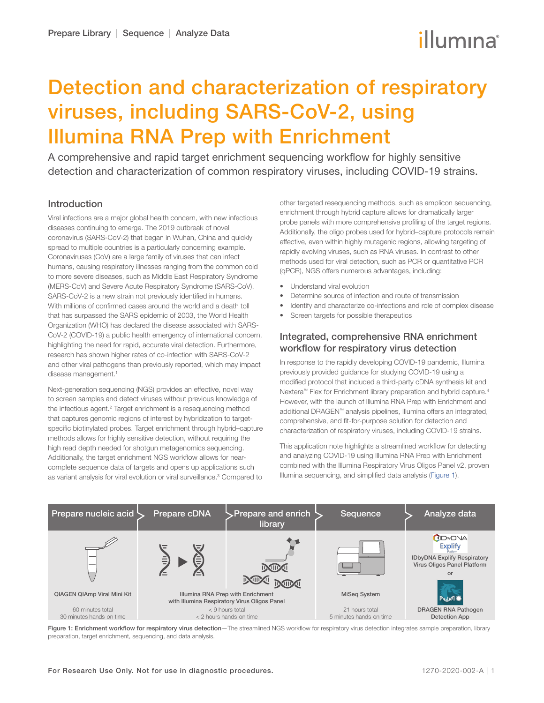# illumına

## Detection and characterization of respiratory viruses, including SARS-CoV-2, using Illumina RNA Prep with Enrichment

A comprehensive and rapid target enrichment sequencing workflow for highly sensitive detection and characterization of common respiratory viruses, including COVID-19 strains.

## Introduction

Viral infections are a major global health concern, with new infectious diseases continuing to emerge. The 2019 outbreak of novel coronavirus (SARS-CoV-2) that began in Wuhan, China and quickly spread to multiple countries is a particularly concerning example. Coronaviruses (CoV) are a large family of viruses that can infect humans, causing respiratory illnesses ranging from the common cold to more severe diseases, such as Middle East Respiratory Syndrome (MERS-CoV) and Severe Acute Respiratory Syndrome (SARS-CoV). SARS-CoV-2 is a new strain not previously identified in humans. With millions of confirmed cases around the world and a death toll that has surpassed the SARS epidemic of 2003, the World Health Organization (WHO) has declared the disease associated with SARS-CoV-2 (COVID-19) a public health emergency of international concern, highlighting the need for rapid, accurate viral detection. Furthermore, research has shown higher rates of co-infection with SARS-CoV-2 and other viral pathogens than previously reported, which may impact disease management.<sup>1</sup>

Next-generation sequencing (NGS) provides an effective, novel way to screen samples and detect viruses without previous knowledge of the infectious agent.<sup>2</sup> Target enrichment is a resequencing method that captures genomic regions of interest by hybridization to targetspecific biotinylated probes. Target enrichment through hybrid–capture methods allows for highly sensitive detection, without requiring the high read depth needed for shotgun metagenomics sequencing. Additionally, the target enrichment NGS workflow allows for nearcomplete sequence data of targets and opens up applications such as variant analysis for viral evolution or viral surveillance.<sup>[3](#page-6-2)</sup> Compared to other targeted resequencing methods, such as amplicon sequencing, enrichment through hybrid capture allows for dramatically larger probe panels with more comprehensive profiling of the target regions. Additionally, the oligo probes used for hybrid–capture protocols remain effective, even within highly mutagenic regions, allowing targeting of rapidly evolving viruses, such as RNA viruses. In contrast to other methods used for viral detection, such as PCR or quantitative PCR (qPCR), NGS offers numerous advantages, including:

- Understand viral evolution
- Determine source of infection and route of transmission
- Identify and characterize co-infections and role of complex disease
- Screen targets for possible therapeutics

## Integrated, comprehensive RNA enrichment workflow for respiratory virus detection

In response to the rapidly developing COVID-19 pandemic, Illumina previously provided guidance for studying COVID-19 using a modified protocol that included a third-party cDNA synthesis kit and Nextera™ Flex for Enrichment library preparation and hybrid capture.<sup>4</sup> However, with the launch of Illumina RNA Prep with Enrichment and additional DRAGEN™ analysis pipelines, Illumina offers an integrated, comprehensive, and fit-for-purpose solution for detection and characterization of respiratory viruses, including COVID-19 strains.

This application note highlights a streamlined workflow for detecting and analyzing COVID-19 using Illumina RNA Prep with Enrichment combined with the Illumina Respiratory Virus Oligos Panel v2, proven Illumina sequencing, and simplified data analysis (Figure 1).



Figure 1: Enrichment workflow for respiratory virus detection-The streamlined NGS workflow for respiratory virus detection integrates sample preparation, library preparation, target enrichment, sequencing, and data analysis.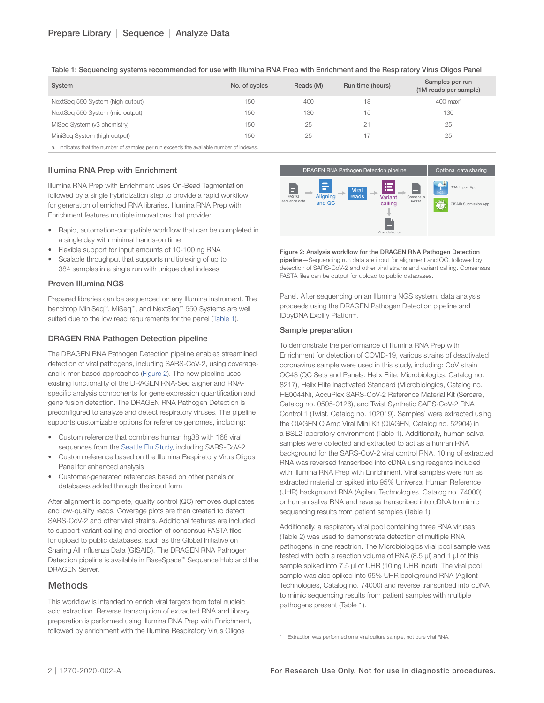| System                                                                                 | No. of cycles | Reads (M) | Run time (hours) | Samples per run<br>(1M reads per sample) |
|----------------------------------------------------------------------------------------|---------------|-----------|------------------|------------------------------------------|
| NextSeq 550 System (high output)                                                       | 150           | 400       | 18               | $400$ max <sup>a</sup>                   |
| NextSeq 550 System (mid output)                                                        | 150           | 130       | 15               | 130                                      |
| MiSeg System (v3 chemistry)                                                            | 150           | 25        |                  | 25                                       |
| MiniSeg System (high output)                                                           | 150           | 25        |                  | 25                                       |
| o logicatos that the number of camples per run exceeds the available number of indexes |               |           |                  |                                          |

Table 1: Sequencing systems recommended for use with Illumina RNA Prep with Enrichment and the Respiratory Virus Oligos Panel

a. Indicates that the number of samples per run exceeds the available number of indexes.

#### Illumina RNA Prep with Enrichment

Illumina RNA Prep with Enrichment uses On-Bead Tagmentation followed by a single hybridization step to provide a rapid workflow for generation of enriched RNA libraries. Illumina RNA Prep with Enrichment features multiple innovations that provide:

- Rapid, automation-compatible workflow that can be completed in a single day with minimal hands-on time
- Flexible support for input amounts of 10-100 ng RNA
- Scalable throughput that supports multiplexing of up to 384 samples in a single run with unique dual indexes

#### Proven Illumina NGS

Prepared libraries can be sequenced on any Illumina instrument. The benchtop MiniSeq™, MiSeq™, and NextSeq™ 550 Systems are well suited due to the low read requirements for the panel (Table 1).

#### DRAGEN RNA Pathogen Detection pipeline

The DRAGEN RNA Pathogen Detection pipeline enables streamlined detection of viral pathogens, including SARS-CoV-2, using coverageand k-mer-based approaches (Figure 2). The new pipeline uses existing functionality of the DRAGEN RNA-Seq aligner and RNAspecific analysis components for gene expression quantification and gene fusion detection. The DRAGEN RNA Pathogen Detection is preconfigured to analyze and detect respiratory viruses. The pipeline supports customizable options for reference genomes, including:

- Custom reference that combines human hg38 with 168 viral sequences from the [Seattle Flu Study](https://seattleflu.org/scan), including SARS-CoV-2
- Custom reference based on the Illumina Respiratory Virus Oligos Panel for enhanced analysis
- Customer-generated references based on other panels or databases added through the input form

After alignment is complete, quality control (QC) removes duplicates and low-quality reads. Coverage plots are then created to detect SARS-CoV-2 and other viral strains. Additional features are included to support variant calling and creation of consensus FASTA files for upload to public databases, such as the Global Initiative on Sharing All Influenza Data (GISAID). The DRAGEN RNA Pathogen Detection pipeline is available in BaseSpace™ Sequence Hub and the DRAGEN Server.

## **Methods**

This workflow is intended to enrich viral targets from total nucleic acid extraction. Reverse transcription of extracted RNA and library preparation is performed using Illumina RNA Prep with Enrichment, followed by enrichment with the Illumina Respiratory Virus Oligos



Figure 2: Analysis workflow for the DRAGEN RNA Pathogen Detection pipeline—Sequencing run data are input for alignment and QC, followed by detection of SARS-CoV-2 and other viral strains and variant calling. Consensus FASTA files can be output for upload to public databases.

Panel. After sequencing on an Illumina NGS system, data analysis proceeds using the DRAGEN Pathogen Detection pipeline and IDbyDNA Explify Platform.

#### Sample preparation

To demonstrate the performance of Illumina RNA Prep with Enrichment for detection of COVID-19, various strains of deactivated coronavirus sample were used in this study, including: CoV strain OC43 (QC Sets and Panels: Helix Elite; Microbiologics, Catalog no. 8217), Helix Elite Inactivated Standard (Microbiologics, Catalog no. HE0044N), AccuPlex SARS-CoV-2 Reference Material Kit (Sercare, Catalog no. 0505-0126), and Twist Synthetic SARS-CoV-2 RNA Control 1 (Twist, Catalog no. 102019). Samples' were extracted using the QIAGEN QIAmp Viral Mini Kit (QIAGEN, Catalog no. 52904) in a BSL2 laboratory environment (Table 1). Additionally, human saliva samples were collected and extracted to act as a human RNA background for the SARS-CoV-2 viral control RNA. 10 ng of extracted RNA was reversed transcribed into cDNA using reagents included with Illumina RNA Prep with Enrichment. Viral samples were run as extracted material or spiked into 95% Universal Human Reference (UHR) background RNA (Agilent Technologies, Catalog no. 74000) or human saliva RNA and reverse transcribed into cDNA to mimic sequencing results from patient samples (Table 1).

Additionally, a respiratory viral pool containing three RNA viruses (Table 2) was used to demonstrate detection of multiple RNA pathogens in one reactrion. The Microbiologics viral pool sample was tested with both a reaction volume of RNA (8.5 μl) and 1 μl of this sample spiked into 7.5 μl of UHR (10 ng UHR input). The viral pool sample was also spiked into 95% UHR background RNA (Agilent Technologies, Catalog no. 74000) and reverse transcribed into cDNA to mimic sequencing results from patient samples with multiple pathogens present (Table 1).

<sup>\*</sup> Extraction was performed on a viral culture sample, not pure viral RNA.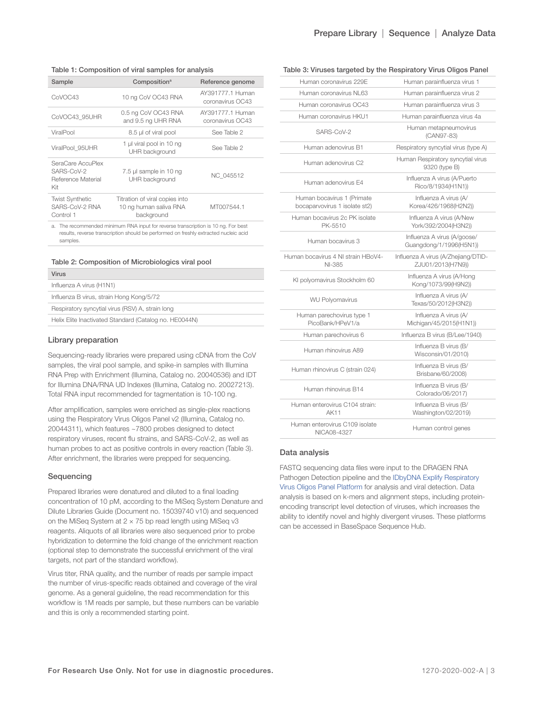## Prepare Library | Sequence | Analyze Data

#### Table 1: Composition of viral samples for analysis

| Sample                                                       | Composition <sup>a</sup>                                               | Reference genome                     |
|--------------------------------------------------------------|------------------------------------------------------------------------|--------------------------------------|
| CoVOC43                                                      | 10 ng CoV OC43 RNA                                                     | AY391777.1 Human<br>coronavirus OC43 |
| CoVOC43_95UHR                                                | 0.5 ng CoV OC43 RNA<br>and 9.5 ng UHR RNA                              | AY391777.1 Human<br>coronavirus OC43 |
| ViralPool                                                    | 8.5 µl of viral pool                                                   | See Table 2                          |
| ViralPool 95UHR                                              | 1 µl viral pool in 10 ng<br>UHR background                             | See Table 2                          |
| SeraCare AccuPlex<br>SARS-CoV-2<br>Reference Material<br>Kit | 7.5 µl sample in 10 ng<br>UHR background                               | NC 045512                            |
| <b>Twist Synthetic</b><br>SARS-CoV-2 RNA<br>Control 1        | Titration of viral copies into<br>10 ng human saliva RNA<br>background | MT007544.1                           |
|                                                              |                                                                        |                                      |

a. The recommended minimum RNA input for reverse transcription is 10 ng. For best results, reverse transcription should be performed on freshly extracted nucleic acid samples.

| Table 2: Composition of Microbiologics viral pool |
|---------------------------------------------------|
|---------------------------------------------------|

| Virus                                                  |
|--------------------------------------------------------|
| Influenza A virus (H1N1)                               |
| Influenza B virus, strain Hong Kong/5/72               |
| Respiratory syncytial virus (RSV) A, strain long       |
| Helix Elite Inactivated Standard (Catalog no. HE0044N) |
|                                                        |

#### Library preparation

Sequencing-ready libraries were prepared using cDNA from the CoV samples, the viral pool sample, and spike-in samples with Illumina RNA Prep with Enrichment (Illumina, Catalog no. 20040536) and IDT for Illumina DNA/RNA UD Indexes (Illumina, Catalog no. 20027213). Total RNA input recommended for tagmentation is 10-100 ng.

After amplification, samples were enriched as single-plex reactions using the Respiratory Virus Oligos Panel v2 (Illumina, Catalog no. 20044311), which features ~7800 probes designed to detect respiratory viruses, recent flu strains, and SARS-CoV-2, as well as human probes to act as positive controls in every reaction (Table 3). After enrichment, the libraries were prepped for sequencing.

#### Sequencing

Prepared libraries were denatured and diluted to a final loading concentration of 10 pM, according to the MiSeq System Denature and Dilute Libraries Guide (Document no. 15039740 v10) and sequenced on the MiSeq System at  $2 \times 75$  bp read length using MiSeq v3 reagents. Aliquots of all libraries were also sequenced prior to probe hybridization to determine the fold change of the enrichment reaction (optional step to demonstrate the successful enrichment of the viral targets, not part of the standard workflow).

Virus titer, RNA quality, and the number of reads per sample impact the number of virus-specific reads obtained and coverage of the viral genome. As a general guideline, the read recommendation for this workflow is 1M reads per sample, but these numbers can be variable and this is only a recommended starting point.

| Table 3: Viruses targeted by the Respiratory Virus Oligos Panel |  |  |  |
|-----------------------------------------------------------------|--|--|--|
|                                                                 |  |  |  |

| Human coronavirus 229E                                      | Human parainfluenza virus 1                              |
|-------------------------------------------------------------|----------------------------------------------------------|
| Human coronavirus NL63                                      | Human parainfluenza virus 2                              |
| Human coronavirus OC43                                      | Human parainfluenza virus 3                              |
| Human coronavirus HKU1                                      | Human parainfluenza virus 4a                             |
| SARS-CoV-2                                                  | Human metapneumovirus<br>(CAN97-83)                      |
| Human adenovirus B1                                         | Respiratory syncytial virus (type A)                     |
| Human adenovirus C2                                         | Human Respiratory syncytial virus<br>9320 (type B)       |
| Human adenovirus E4                                         | Influenza A virus (A/Puerto<br>Rico/8/1934(H1N1))        |
| Human bocavirus 1 (Primate<br>bocaparvovirus 1 isolate st2) | Influenza A virus (A/<br>Korea/426/1968(H2N2))           |
| Human bocavirus 2c PK isolate<br>PK-5510                    | Influenza A virus (A/New<br>York/392/2004(H3N2))         |
| Human bocavirus 3                                           | Influenza A virus (A/goose/<br>Guangdong/1/1996(H5N1))   |
| Human bocavirus 4 NI strain HBoV4-<br>NI-385                | Influenza A virus (A/Zhejiang/DTID-<br>ZJU01/2013(H7N9)) |
| KI polyomavirus Stockholm 60                                | Influenza A virus (A/Hong<br>Kong/1073/99(H9N2))         |
| <b>WU Polyomavirus</b>                                      | Influenza A virus (A/<br>Texas/50/2012(H3N2))            |
| Human parechovirus type 1<br>PicoBank/HPeV1/a               | Influenza A virus (A/<br>Michigan/45/2015(H1N1))         |
| Human parechovirus 6                                        | Influenza B virus (B/Lee/1940)                           |
| Human rhinovirus A89                                        | Influenza B virus (B/<br>Wisconsin/01/2010)              |
| Human rhinovirus C (strain 024)                             | Influenza B virus (B/<br>Brisbane/60/2008)               |
| Human rhinovirus B14                                        | Influenza B virus (B/<br>Colorado/06/2017)               |
| Human enterovirus C104 strain:<br><b>AK11</b>               | Influenza B virus (B/<br>Washington/02/2019)             |
| Human enterovirus C109 isolate<br>NICA08-4327               | Human control genes                                      |
|                                                             |                                                          |

#### Data analysis

FASTQ sequencing data files were input to the DRAGEN RNA Pathogen Detection pipeline and the IDbyDNA Explify Respiratory Virus Oligos Panel Platform for analysis and viral detection. Data analysis is based on k-mers and alignment steps, including proteinencoding transcript level detection of viruses, which increases the ability to identify novel and highly divergent viruses. These platforms can be accessed in BaseSpace Sequence Hub.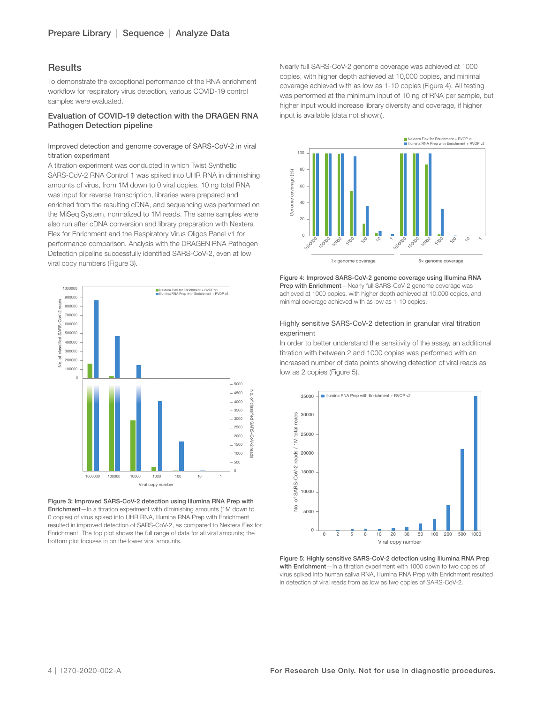## **Results**

To demonstrate the exceptional performance of the RNA enrichment workflow for respiratory virus detection, various COVID-19 control samples were evaluated.

#### Evaluation of COVID-19 detection with the DRAGEN RNA Pathogen Detection pipeline

#### Improved detection and genome coverage of SARS-CoV-2 in viral titration experiment

A titration experiment was conducted in which Twist Synthetic SARS-CoV-2 RNA Control 1 was spiked into UHR RNA in diminishing amounts of virus, from 1M down to 0 viral copies. 10 ng total RNA was input for reverse transcription, libraries were prepared and enriched from the resulting cDNA, and sequencing was performed on the MiSeq System, normalized to 1M reads. The same samples were also run after cDNA conversion and library preparation with Nextera Flex for Enrichment and the Respiratory Virus Oligos Panel v1 for performance comparison. Analysis with the DRAGEN RNA Pathogen Detection pipeline successfully identified SARS-CoV-2, even at low viral copy numbers (Figure 3).



Figure 3: Improved SARS-CoV-2 detection using Illumina RNA Prep with Enrichment—In a titration experiment with diminishing amounts (1M down to 0 copies) of virus spiked into UHR RNA, Illumina RNA Prep with Enrichment resulted in improved detection of SARS-CoV-2, as compared to Nextera Flex for Enrichment. The top plot shows the full range of data for all viral amounts; the bottom plot focuses in on the lower viral amounts.

Nearly full SARS-CoV-2 genome coverage was achieved at 1000 copies, with higher depth achieved at 10,000 copies, and minimal coverage achieved with as low as 1-10 copies (Figure 4). All testing was performed at the minimum input of 10 ng of RNA per sample, but higher input would increase library diversity and coverage, if higher input is available (data not shown).



Figure 4: Improved SARS-CoV-2 genome coverage using Illumina RNA Prep with Enrichment-Nearly full SARS-CoV-2 genome coverage was achieved at 1000 copies, with higher depth achieved at 10,000 copies, and minimal coverage achieved with as low as 1-10 copies.

#### Highly sensitive SARS-CoV-2 detection in granular viral titration experiment

In order to better understand the sensitivity of the assay, an additional titration with between 2 and 1000 copies was performed with an increased number of data points showing detection of viral reads as low as 2 copies (Figure 5).



Figure 5: Highly sensitive SARS-CoV-2 detection using Illumina RNA Prep with Enrichment-In a titration experiment with 1000 down to two copies of virus spiked into human saliva RNA, Illumina RNA Prep with Enrichment resulted in detection of viral reads from as low as two copies of SARS-CoV-2.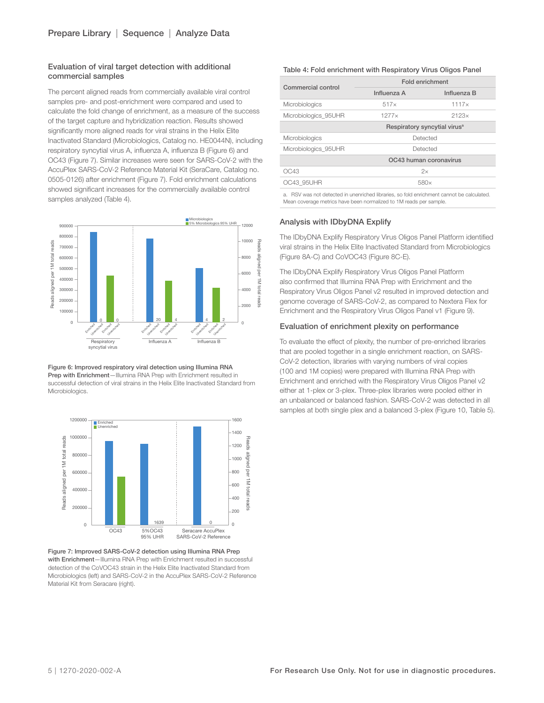#### Evaluation of viral target detection with additional commercial samples

The percent aligned reads from commercially available viral control samples pre- and post-enrichment were compared and used to calculate the fold change of enrichment, as a measure of the success of the target capture and hybridization reaction. Results showed significantly more aligned reads for viral strains in the Helix Elite Inactivated Standard (Microbiologics, Catalog no. HE0044N), including respiratory syncytial virus A, influenza A, influenza B (Figure 6) and OC43 (Figure 7). Similar increases were seen for SARS-CoV-2 with the AccuPlex SARS-CoV-2 Reference Material Kit (SeraCare, Catalog no. 0505-0126) after enrichment (Figure 7). Fold enrichment calculations showed significant increases for the commercially available control samples analyzed (Table 4).



Figure 6: Improved respiratory viral detection using Illumina RNA Prep with Enrichment-Illumina RNA Prep with Enrichment resulted in successful detection of viral strains in the Helix Elite Inactivated Standard from Microbiologics.



Figure 7: Improved SARS-CoV-2 detection using Illumina RNA Prep with Enrichment—Illumina RNA Prep with Enrichment resulted in successful detection of the CoVOC43 strain in the Helix Elite Inactivated Standard from Microbiologics (left) and SARS-CoV-2 in the AccuPlex SARS-CoV-2 Reference Material Kit from Seracare (right).

#### Table 4: Fold enrichment with Respiratory Virus Oligos Panel

| Commercial control                                                                                                      | Fold enrichment                          |                        |  |
|-------------------------------------------------------------------------------------------------------------------------|------------------------------------------|------------------------|--|
|                                                                                                                         | Influenza A                              | Influenza B            |  |
| Microbiologics                                                                                                          | 517x                                     | 1117x                  |  |
| Microbiologics 95UHR                                                                                                    | $1277\times$                             | 2123x                  |  |
|                                                                                                                         | Respiratory syncytial virus <sup>a</sup> |                        |  |
| Microbiologics                                                                                                          | Detected                                 |                        |  |
| Microbiologics 95UHR                                                                                                    | Detected                                 |                        |  |
|                                                                                                                         |                                          | OC43 human coronavirus |  |
| OC43                                                                                                                    | 2x                                       |                        |  |
| OC43 95UHR                                                                                                              | 580×                                     |                        |  |
| <b>COMPONE</b> and the second to consider a flood of the college and the constant of the second terms of the department |                                          |                        |  |

a. RSV was not detected in unenriched libraries, so fold enrichment cannot be calculated. Mean coverage metrics have been normalized to 1M reads per sample.

## Analysis with IDbyDNA Explify

The IDbyDNA Explify Respiratory Virus Oligos Panel Platform identified viral strains in the Helix Elite Inactivated Standard from Microbiologics (Figure 8A-C) and CoVOC43 (Figure 8C-E).

The IDbyDNA Explify Respiratory Virus Oligos Panel Platform also confirmed that Illumina RNA Prep with Enrichment and the Respiratory Virus Oligos Panel v2 resulted in improved detection and genome coverage of SARS-CoV-2, as compared to Nextera Flex for Enrichment and the Respiratory Virus Oligos Panel v1 (Figure 9).

#### Evaluation of enrichment plexity on performance

To evaluate the effect of plexity, the number of pre-enriched libraries that are pooled together in a single enrichment reaction, on SARS-CoV-2 detection, libraries with varying numbers of viral copies (100 and 1M copies) were prepared with Illumina RNA Prep with Enrichment and enriched with the Respiratory Virus Oligos Panel v2 either at 1-plex or 3-plex. Three-plex libraries were pooled either in an unbalanced or balanced fashion. SARS-CoV-2 was detected in all samples at both single plex and a balanced 3-plex (Figure 10, Table 5).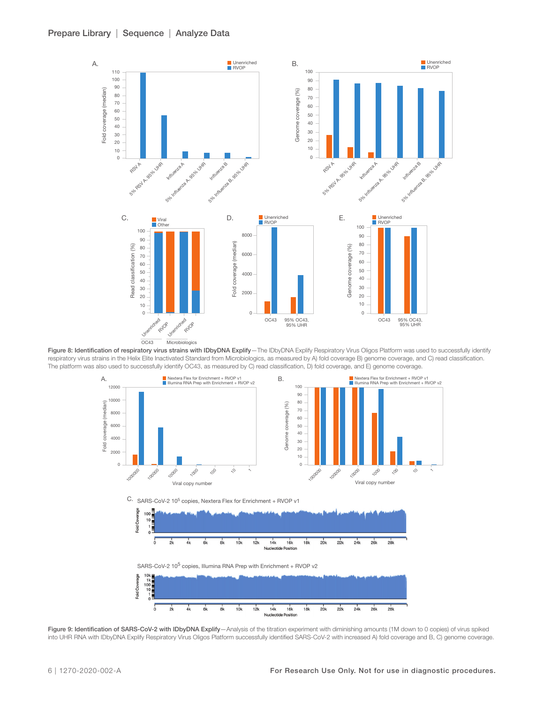

Figure 8: Identification of respiratory virus strains with IDbyDNA Explify-The IDbyDNA Explify Respiratory Virus Oligos Platform was used to successfully identify respiratory virus strains in the Helix Elite Inactivated Standard from Microbiologics, as measured by A) fold coverage B) genome coverage, and C) read classification. The platform was also used to successfully identify OC43, as measured by C) read classification, D) fold coverage, and E) genome coverage.



Figure 9: Identification of SARS-CoV-2 with IDbyDNA Explify-Analysis of the titration experiment with diminishing amounts (1M down to 0 copies) of virus spiked into UHR RNA with IDbyDNA Explify Respiratory Virus Oligos Platform successfully identified SARS-CoV-2 with increased A) fold coverage and B, C) genome coverage.

Nucleotide

 $10k$  $12k$  $14k$  $16k$  $18k$  $20k$  $22k$  $24k$  $26k$  $28k$ 

 $\overline{\mathbf{g}}$ 

 $\overline{\delta}$  $\frac{1}{2k}$  $4k$  $\frac{1}{6}$